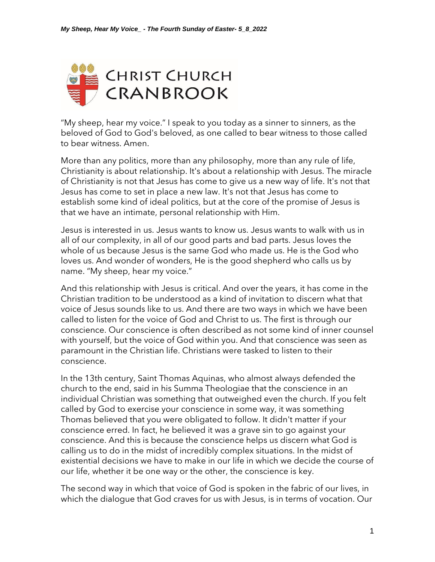

"My sheep, hear my voice." I speak to you today as a sinner to sinners, as the beloved of God to God's beloved, as one called to bear witness to those called to bear witness. Amen.

More than any politics, more than any philosophy, more than any rule of life, Christianity is about relationship. It's about a relationship with Jesus. The miracle of Christianity is not that Jesus has come to give us a new way of life. It's not that Jesus has come to set in place a new law. It's not that Jesus has come to establish some kind of ideal politics, but at the core of the promise of Jesus is that we have an intimate, personal relationship with Him.

Jesus is interested in us. Jesus wants to know us. Jesus wants to walk with us in all of our complexity, in all of our good parts and bad parts. Jesus loves the whole of us because Jesus is the same God who made us. He is the God who loves us. And wonder of wonders, He is the good shepherd who calls us by name. "My sheep, hear my voice."

And this relationship with Jesus is critical. And over the years, it has come in the Christian tradition to be understood as a kind of invitation to discern what that voice of Jesus sounds like to us. And there are two ways in which we have been called to listen for the voice of God and Christ to us. The first is through our conscience. Our conscience is often described as not some kind of inner counsel with yourself, but the voice of God within you. And that conscience was seen as paramount in the Christian life. Christians were tasked to listen to their conscience.

In the 13th century, Saint Thomas Aquinas, who almost always defended the church to the end, said in his Summa Theologiae that the conscience in an individual Christian was something that outweighed even the church. If you felt called by God to exercise your conscience in some way, it was something Thomas believed that you were obligated to follow. It didn't matter if your conscience erred. In fact, he believed it was a grave sin to go against your conscience. And this is because the conscience helps us discern what God is calling us to do in the midst of incredibly complex situations. In the midst of existential decisions we have to make in our life in which we decide the course of our life, whether it be one way or the other, the conscience is key.

The second way in which that voice of God is spoken in the fabric of our lives, in which the dialogue that God craves for us with Jesus, is in terms of vocation. Our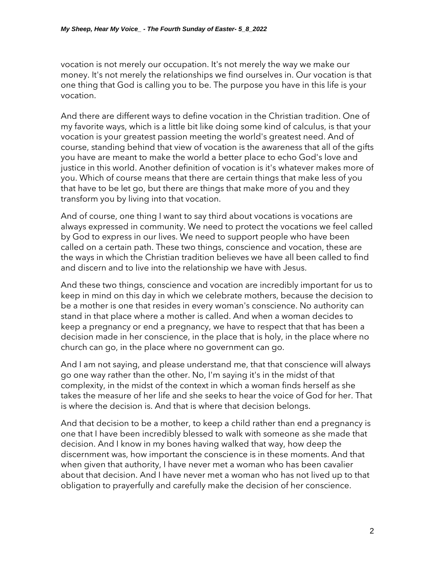vocation is not merely our occupation. It's not merely the way we make our money. It's not merely the relationships we find ourselves in. Our vocation is that one thing that God is calling you to be. The purpose you have in this life is your vocation.

And there are different ways to define vocation in the Christian tradition. One of my favorite ways, which is a little bit like doing some kind of calculus, is that your vocation is your greatest passion meeting the world's greatest need. And of course, standing behind that view of vocation is the awareness that all of the gifts you have are meant to make the world a better place to echo God's love and justice in this world. Another definition of vocation is it's whatever makes more of you. Which of course means that there are certain things that make less of you that have to be let go, but there are things that make more of you and they transform you by living into that vocation.

And of course, one thing I want to say third about vocations is vocations are always expressed in community. We need to protect the vocations we feel called by God to express in our lives. We need to support people who have been called on a certain path. These two things, conscience and vocation, these are the ways in which the Christian tradition believes we have all been called to find and discern and to live into the relationship we have with Jesus.

And these two things, conscience and vocation are incredibly important for us to keep in mind on this day in which we celebrate mothers, because the decision to be a mother is one that resides in every woman's conscience. No authority can stand in that place where a mother is called. And when a woman decides to keep a pregnancy or end a pregnancy, we have to respect that that has been a decision made in her conscience, in the place that is holy, in the place where no church can go, in the place where no government can go.

And I am not saying, and please understand me, that that conscience will always go one way rather than the other. No, I'm saying it's in the midst of that complexity, in the midst of the context in which a woman finds herself as she takes the measure of her life and she seeks to hear the voice of God for her. That is where the decision is. And that is where that decision belongs.

And that decision to be a mother, to keep a child rather than end a pregnancy is one that I have been incredibly blessed to walk with someone as she made that decision. And I know in my bones having walked that way, how deep the discernment was, how important the conscience is in these moments. And that when given that authority, I have never met a woman who has been cavalier about that decision. And I have never met a woman who has not lived up to that obligation to prayerfully and carefully make the decision of her conscience.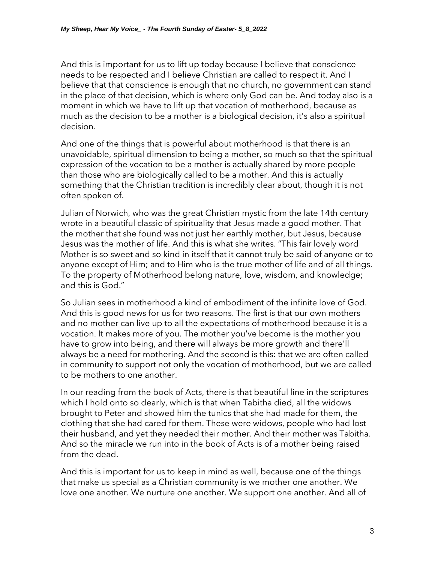And this is important for us to lift up today because I believe that conscience needs to be respected and I believe Christian are called to respect it. And I believe that that conscience is enough that no church, no government can stand in the place of that decision, which is where only God can be. And today also is a moment in which we have to lift up that vocation of motherhood, because as much as the decision to be a mother is a biological decision, it's also a spiritual decision.

And one of the things that is powerful about motherhood is that there is an unavoidable, spiritual dimension to being a mother, so much so that the spiritual expression of the vocation to be a mother is actually shared by more people than those who are biologically called to be a mother. And this is actually something that the Christian tradition is incredibly clear about, though it is not often spoken of.

Julian of Norwich, who was the great Christian mystic from the late 14th century wrote in a beautiful classic of spirituality that Jesus made a good mother. That the mother that she found was not just her earthly mother, but Jesus, because Jesus was the mother of life. And this is what she writes. "This fair lovely word Mother is so sweet and so kind in itself that it cannot truly be said of anyone or to anyone except of Him; and to Him who is the true mother of life and of all things. To the property of Motherhood belong nature, love, wisdom, and knowledge; and this is God."

So Julian sees in motherhood a kind of embodiment of the infinite love of God. And this is good news for us for two reasons. The first is that our own mothers and no mother can live up to all the expectations of motherhood because it is a vocation. It makes more of you. The mother you've become is the mother you have to grow into being, and there will always be more growth and there'll always be a need for mothering. And the second is this: that we are often called in community to support not only the vocation of motherhood, but we are called to be mothers to one another.

In our reading from the book of Acts, there is that beautiful line in the scriptures which I hold onto so dearly, which is that when Tabitha died, all the widows brought to Peter and showed him the tunics that she had made for them, the clothing that she had cared for them. These were widows, people who had lost their husband, and yet they needed their mother. And their mother was Tabitha. And so the miracle we run into in the book of Acts is of a mother being raised from the dead.

And this is important for us to keep in mind as well, because one of the things that make us special as a Christian community is we mother one another. We love one another. We nurture one another. We support one another. And all of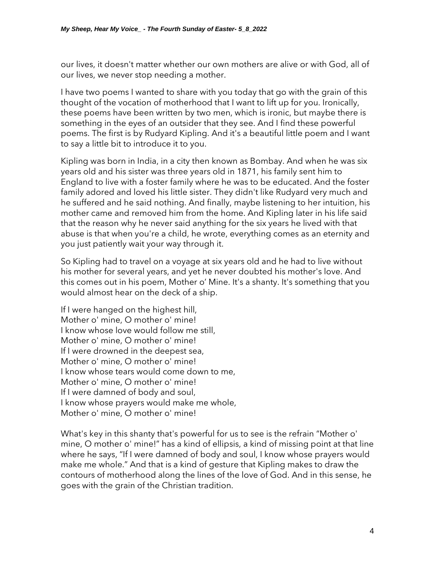our lives, it doesn't matter whether our own mothers are alive or with God, all of our lives, we never stop needing a mother.

I have two poems I wanted to share with you today that go with the grain of this thought of the vocation of motherhood that I want to lift up for you. Ironically, these poems have been written by two men, which is ironic, but maybe there is something in the eyes of an outsider that they see. And I find these powerful poems. The first is by Rudyard Kipling. And it's a beautiful little poem and I want to say a little bit to introduce it to you.

Kipling was born in India, in a city then known as Bombay. And when he was six years old and his sister was three years old in 1871, his family sent him to England to live with a foster family where he was to be educated. And the foster family adored and loved his little sister. They didn't like Rudyard very much and he suffered and he said nothing. And finally, maybe listening to her intuition, his mother came and removed him from the home. And Kipling later in his life said that the reason why he never said anything for the six years he lived with that abuse is that when you're a child, he wrote, everything comes as an eternity and you just patiently wait your way through it.

So Kipling had to travel on a voyage at six years old and he had to live without his mother for several years, and yet he never doubted his mother's love. And this comes out in his poem, Mother o' Mine. It's a shanty. It's something that you would almost hear on the deck of a ship.

If I were hanged on the highest hill, Mother o' mine, O mother o' mine! I know whose love would follow me still, Mother o' mine, O mother o' mine! If I were drowned in the deepest sea, Mother o' mine, O mother o' mine! I know whose tears would come down to me, Mother o' mine, O mother o' mine! If I were damned of body and soul, I know whose prayers would make me whole, Mother o' mine, O mother o' mine!

What's key in this shanty that's powerful for us to see is the refrain "Mother o' mine, O mother o' mine!" has a kind of ellipsis, a kind of missing point at that line where he says, "If I were damned of body and soul, I know whose prayers would make me whole." And that is a kind of gesture that Kipling makes to draw the contours of motherhood along the lines of the love of God. And in this sense, he goes with the grain of the Christian tradition.